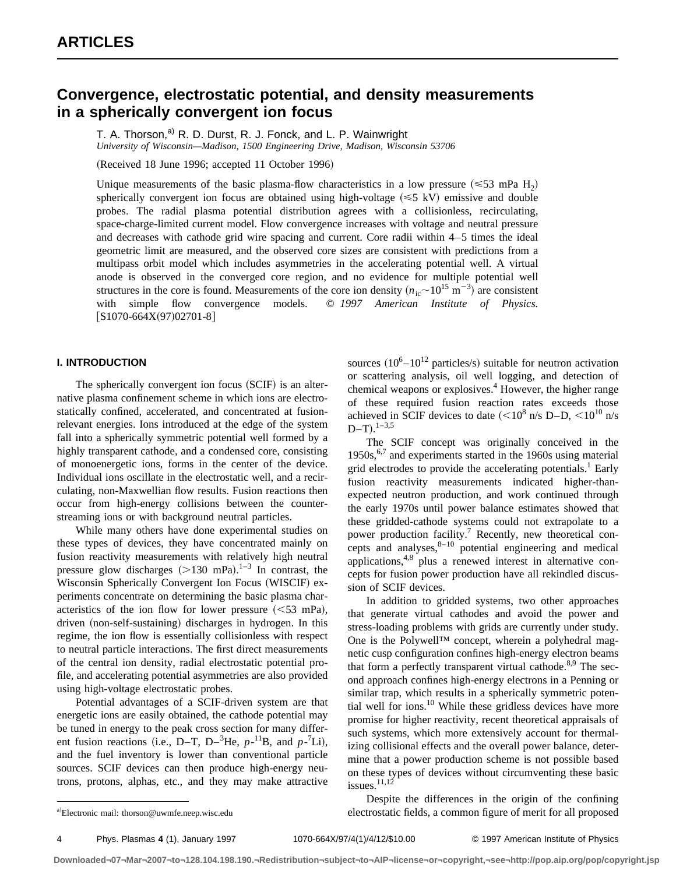# **Convergence, electrostatic potential, and density measurements in a spherically convergent ion focus**

T. A. Thorson,<sup>a)</sup> R. D. Durst, R. J. Fonck, and L. P. Wainwright *University of Wisconsin—Madison, 1500 Engineering Drive, Madison, Wisconsin 53706*

(Received 18 June 1996; accepted 11 October 1996)

Unique measurements of the basic plasma-flow characteristics in a low pressure  $(\leq 53 \text{ mPa H}_2)$ spherically convergent ion focus are obtained using high-voltage  $(\leq 5 \text{ kV})$  emissive and double probes. The radial plasma potential distribution agrees with a collisionless, recirculating, space-charge-limited current model. Flow convergence increases with voltage and neutral pressure and decreases with cathode grid wire spacing and current. Core radii within 4–5 times the ideal geometric limit are measured, and the observed core sizes are consistent with predictions from a multipass orbit model which includes asymmetries in the accelerating potential well. A virtual anode is observed in the converged core region, and no evidence for multiple potential well structures in the core is found. Measurements of the core ion density  $(n_{ic} \sim 10^{15} \text{ m}^{-3})$  are consistent with simple flow convergence models. © *1997 American Institute of Physics.*  $[S1070-664X(97)02701-8]$ 

# **I. INTRODUCTION**

The spherically convergent ion focus (SCIF) is an alternative plasma confinement scheme in which ions are electrostatically confined, accelerated, and concentrated at fusionrelevant energies. Ions introduced at the edge of the system fall into a spherically symmetric potential well formed by a highly transparent cathode, and a condensed core, consisting of monoenergetic ions, forms in the center of the device. Individual ions oscillate in the electrostatic well, and a recirculating, non-Maxwellian flow results. Fusion reactions then occur from high-energy collisions between the counterstreaming ions or with background neutral particles.

While many others have done experimental studies on these types of devices, they have concentrated mainly on fusion reactivity measurements with relatively high neutral pressure glow discharges  $(>130 \text{ mPa})$ .<sup>1-3</sup> In contrast, the Wisconsin Spherically Convergent Ion Focus (WISCIF) experiments concentrate on determining the basic plasma characteristics of the ion flow for lower pressure  $(<53$  mPa), driven (non-self-sustaining) discharges in hydrogen. In this regime, the ion flow is essentially collisionless with respect to neutral particle interactions. The first direct measurements of the central ion density, radial electrostatic potential profile, and accelerating potential asymmetries are also provided using high-voltage electrostatic probes.

Potential advantages of a SCIF-driven system are that energetic ions are easily obtained, the cathode potential may be tuned in energy to the peak cross section for many different fusion reactions (i.e., D-T, D-<sup>3</sup>He,  $p^{-11}B$ , and  $p^{-7}Li$ ), and the fuel inventory is lower than conventional particle sources. SCIF devices can then produce high-energy neutrons, protons, alphas, etc., and they may make attractive

sources  $(10^6 - 10^{12} \text{ particles/s})$  suitable for neutron activation or scattering analysis, oil well logging, and detection of chemical weapons or explosives. $4$  However, the higher range of these required fusion reaction rates exceeds those achieved in SCIF devices to date  $(<10^8$  n/s D–D,  $<10^{10}$  n/s  $D-T$ ).<sup>1–3,5</sup>

The SCIF concept was originally conceived in the 1950s,<sup>6,7</sup> and experiments started in the 1960s using material grid electrodes to provide the accelerating potentials.<sup>1</sup> Early fusion reactivity measurements indicated higher-thanexpected neutron production, and work continued through the early 1970s until power balance estimates showed that these gridded-cathode systems could not extrapolate to a power production facility.7 Recently, new theoretical concepts and analyses, $8-10$  potential engineering and medical applications,  $4,8$  plus a renewed interest in alternative concepts for fusion power production have all rekindled discussion of SCIF devices.

In addition to gridded systems, two other approaches that generate virtual cathodes and avoid the power and stress-loading problems with grids are currently under study. One is the Polywell™ concept, wherein a polyhedral magnetic cusp configuration confines high-energy electron beams that form a perfectly transparent virtual cathode.<sup>8,9</sup> The second approach confines high-energy electrons in a Penning or similar trap, which results in a spherically symmetric potential well for ions.<sup>10</sup> While these gridless devices have more promise for higher reactivity, recent theoretical appraisals of such systems, which more extensively account for thermalizing collisional effects and the overall power balance, determine that a power production scheme is not possible based on these types of devices without circumventing these basic issues. $^{11,12}$ 

Despite the differences in the origin of the confining electrostatic fields, a common figure of merit for all proposed

4 Phys. Plasmas **4** (1), January 1997 1070-664X/97/4(1)/4/12/\$10.00 © 1997 American Institute of Physics

a)Electronic mail: thorson@uwmfe.neep.wisc.edu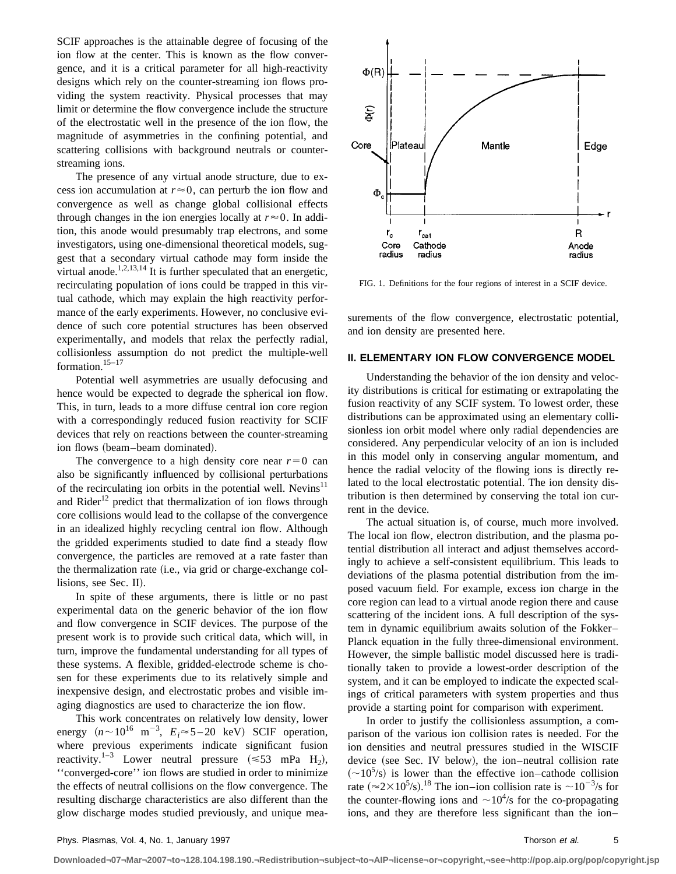SCIF approaches is the attainable degree of focusing of the ion flow at the center. This is known as the flow convergence, and it is a critical parameter for all high-reactivity designs which rely on the counter-streaming ion flows providing the system reactivity. Physical processes that may limit or determine the flow convergence include the structure of the electrostatic well in the presence of the ion flow, the magnitude of asymmetries in the confining potential, and scattering collisions with background neutrals or counterstreaming ions.

The presence of any virtual anode structure, due to excess ion accumulation at  $r \approx 0$ , can perturb the ion flow and convergence as well as change global collisional effects through changes in the ion energies locally at  $r \approx 0$ . In addition, this anode would presumably trap electrons, and some investigators, using one-dimensional theoretical models, suggest that a secondary virtual cathode may form inside the virtual anode.<sup>1,2,13,14</sup> It is further speculated that an energetic, recirculating population of ions could be trapped in this virtual cathode, which may explain the high reactivity performance of the early experiments. However, no conclusive evidence of such core potential structures has been observed experimentally, and models that relax the perfectly radial, collisionless assumption do not predict the multiple-well formation.15–17

Potential well asymmetries are usually defocusing and hence would be expected to degrade the spherical ion flow. This, in turn, leads to a more diffuse central ion core region with a correspondingly reduced fusion reactivity for SCIF devices that rely on reactions between the counter-streaming ion flows (beam–beam dominated).

The convergence to a high density core near  $r=0$  can also be significantly influenced by collisional perturbations of the recirculating ion orbits in the potential well. Nevins $11$ and Rider<sup>12</sup> predict that thermalization of ion flows through core collisions would lead to the collapse of the convergence in an idealized highly recycling central ion flow. Although the gridded experiments studied to date find a steady flow convergence, the particles are removed at a rate faster than the thermalization rate  $(i.e., via grid or charge-exchange col$ lisions, see Sec. II).

In spite of these arguments, there is little or no past experimental data on the generic behavior of the ion flow and flow convergence in SCIF devices. The purpose of the present work is to provide such critical data, which will, in turn, improve the fundamental understanding for all types of these systems. A flexible, gridded-electrode scheme is chosen for these experiments due to its relatively simple and inexpensive design, and electrostatic probes and visible imaging diagnostics are used to characterize the ion flow.

This work concentrates on relatively low density, lower energy  $(n \sim 10^{16} \text{ m}^{-3}, E_i \approx 5-20 \text{ keV})$  SCIF operation, where previous experiments indicate significant fusion reactivity.<sup>1–3</sup> Lower neutral pressure ( $\leq 53$  mPa H<sub>2</sub>), ''converged-core'' ion flows are studied in order to minimize the effects of neutral collisions on the flow convergence. The resulting discharge characteristics are also different than the glow discharge modes studied previously, and unique mea-



FIG. 1. Definitions for the four regions of interest in a SCIF device.

surements of the flow convergence, electrostatic potential, and ion density are presented here.

## **II. ELEMENTARY ION FLOW CONVERGENCE MODEL**

Understanding the behavior of the ion density and velocity distributions is critical for estimating or extrapolating the fusion reactivity of any SCIF system. To lowest order, these distributions can be approximated using an elementary collisionless ion orbit model where only radial dependencies are considered. Any perpendicular velocity of an ion is included in this model only in conserving angular momentum, and hence the radial velocity of the flowing ions is directly related to the local electrostatic potential. The ion density distribution is then determined by conserving the total ion current in the device.

The actual situation is, of course, much more involved. The local ion flow, electron distribution, and the plasma potential distribution all interact and adjust themselves accordingly to achieve a self-consistent equilibrium. This leads to deviations of the plasma potential distribution from the imposed vacuum field. For example, excess ion charge in the core region can lead to a virtual anode region there and cause scattering of the incident ions. A full description of the system in dynamic equilibrium awaits solution of the Fokker– Planck equation in the fully three-dimensional environment. However, the simple ballistic model discussed here is traditionally taken to provide a lowest-order description of the system, and it can be employed to indicate the expected scalings of critical parameters with system properties and thus provide a starting point for comparison with experiment.

In order to justify the collisionless assumption, a comparison of the various ion collision rates is needed. For the ion densities and neutral pressures studied in the WISCIF device (see Sec. IV below), the ion–neutral collision rate  $({\sim}10^5$ /s) is lower than the effective ion–cathode collision rate ( $\approx$ 2×10<sup>5</sup>/s).<sup>18</sup> The ion–ion collision rate is  $\sim$ 10<sup>-3</sup>/s for the counter-flowing ions and  $\sim 10^{4}/s$  for the co-propagating ions, and they are therefore less significant than the ion–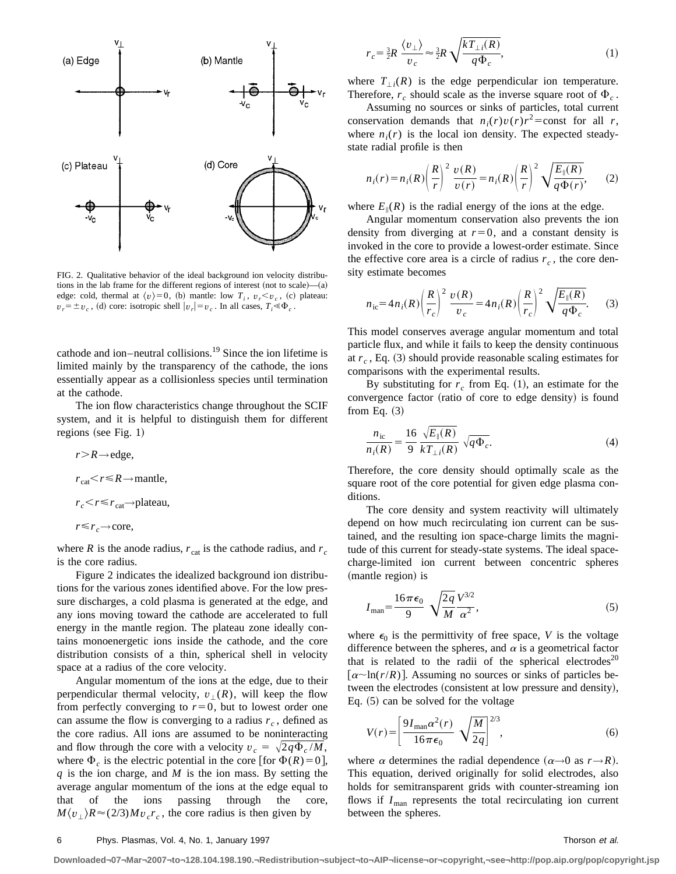

FIG. 2. Qualitative behavior of the ideal background ion velocity distributions in the lab frame for the different regions of interest (not to scale)— $(a)$ edge: cold, thermal at  $\langle v \rangle = 0$ , (b) mantle: low  $T_i$ ,  $v_r \langle v_c$ , (c) plateau:  $v_r = \pm v_c$ , (d) core: isotropic shell  $|v_r| = v_c$ . In all cases,  $T_i \le \Phi_c$ .

cathode and ion–neutral collisions.19 Since the ion lifetime is limited mainly by the transparency of the cathode, the ions essentially appear as a collisionless species until termination at the cathode.

The ion flow characteristics change throughout the SCIF system, and it is helpful to distinguish them for different regions (see Fig.  $1$ )

$$
r > R \rightarrow \text{edge},
$$
  
\n
$$
r_{\text{cat}} < r \le R \rightarrow \text{mantle},
$$
  
\n
$$
r_c < r \le r_{\text{cat}} \rightarrow \text{plateau},
$$
  
\n
$$
r \le r_c \rightarrow \text{core},
$$

where *R* is the anode radius,  $r_{\text{cat}}$  is the cathode radius, and  $r_c$ is the core radius.

Figure 2 indicates the idealized background ion distributions for the various zones identified above. For the low pressure discharges, a cold plasma is generated at the edge, and any ions moving toward the cathode are accelerated to full energy in the mantle region. The plateau zone ideally contains monoenergetic ions inside the cathode, and the core distribution consists of a thin, spherical shell in velocity space at a radius of the core velocity.

Angular momentum of the ions at the edge, due to their perpendicular thermal velocity,  $v_+(R)$ , will keep the flow from perfectly converging to  $r=0$ , but to lowest order one can assume the flow is converging to a radius  $r_c$ , defined as the core radius. All ions are assumed to be noninteracting and flow through the core with a velocity  $v_c = \sqrt{2q\Phi_c/M}$ , where  $\Phi_c$  is the electric potential in the core [for  $\Phi(R)=0$ ], *q* is the ion charge, and *M* is the ion mass. By setting the average angular momentum of the ions at the edge equal to that of the ions passing through the core,  $M\langle v_{\perp}\rangle R \approx (2/3)Mv_{c}r_{c}$ , the core radius is then given by

$$
r_c = \frac{3}{2}R \frac{\langle v_\perp \rangle}{v_c} \approx \frac{3}{2}R \sqrt{\frac{kT_{\perp i}(R)}{q\Phi_c}},\tag{1}
$$

where  $T_{\perp i}(R)$  is the edge perpendicular ion temperature. Therefore,  $r_c$  should scale as the inverse square root of  $\Phi_c$ .

Assuming no sources or sinks of particles, total current conservation demands that  $n_i(r)v(r)r^2$  = const for all *r*, where  $n_i(r)$  is the local ion density. The expected steadystate radial profile is then

$$
n_i(r) = n_i(R) \left(\frac{R}{r}\right)^2 \frac{\upsilon(R)}{\upsilon(r)} = n_i(R) \left(\frac{R}{r}\right)^2 \sqrt{\frac{E_{\parallel}(R)}{q\Phi(r)}},\qquad(2)
$$

where  $E_{\parallel}(R)$  is the radial energy of the ions at the edge.

Angular momentum conservation also prevents the ion density from diverging at  $r=0$ , and a constant density is invoked in the core to provide a lowest-order estimate. Since the effective core area is a circle of radius  $r_c$ , the core density estimate becomes

$$
n_{\rm ic} = 4n_i(R) \left(\frac{R}{r_c}\right)^2 \frac{\nu(R)}{\nu_c} = 4n_i(R) \left(\frac{R}{r_c}\right)^2 \sqrt{\frac{E_{\parallel}(R)}{q \Phi_c}}.
$$
 (3)

This model conserves average angular momentum and total particle flux, and while it fails to keep the density continuous at  $r_c$ , Eq. (3) should provide reasonable scaling estimates for comparisons with the experimental results.

By substituting for  $r_c$  from Eq. (1), an estimate for the convergence factor (ratio of core to edge density) is found from Eq.  $(3)$ 

$$
\frac{n_{\rm ic}}{n_i(R)} = \frac{16}{9} \frac{\sqrt{E_{\parallel}(R)}}{k T_{\perp i}(R)} \sqrt{q \Phi_c}.
$$
\n(4)

Therefore, the core density should optimally scale as the square root of the core potential for given edge plasma conditions.

The core density and system reactivity will ultimately depend on how much recirculating ion current can be sustained, and the resulting ion space-charge limits the magnitude of this current for steady-state systems. The ideal spacecharge-limited ion current between concentric spheres (mantle region) is

$$
I_{\text{man}} = \frac{16\pi\epsilon_0}{9} \sqrt{\frac{2q}{M} \frac{V^{3/2}}{\alpha^2}},
$$
 (5)

where  $\epsilon_0$  is the permittivity of free space, *V* is the voltage difference between the spheres, and  $\alpha$  is a geometrical factor that is related to the radii of the spherical electrodes<sup>20</sup>  $\alpha \sim \ln(r/R)$ . Assuming no sources or sinks of particles between the electrodes (consistent at low pressure and density), Eq.  $(5)$  can be solved for the voltage

$$
V(r) = \left[\frac{9I_{\text{man}}\alpha^2(r)}{16\pi\epsilon_0} \sqrt{\frac{M}{2q}}\right]^{2/3},\tag{6}
$$

where  $\alpha$  determines the radial dependence  $(\alpha \rightarrow 0 \text{ as } r \rightarrow R)$ . This equation, derived originally for solid electrodes, also holds for semitransparent grids with counter-streaming ion flows if  $I_{\text{man}}$  represents the total recirculating ion current between the spheres.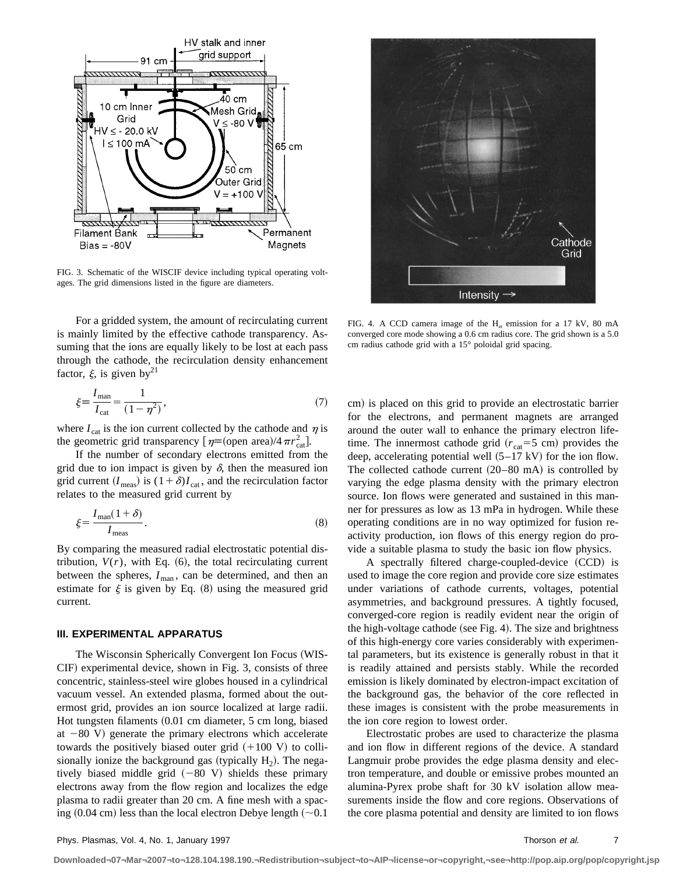

FIG. 3. Schematic of the WISCIF device including typical operating voltages. The grid dimensions listed in the figure are diameters.

For a gridded system, the amount of recirculating current is mainly limited by the effective cathode transparency. Assuming that the ions are equally likely to be lost at each pass through the cathode, the recirculation density enhancement factor,  $\xi$ , is given by<sup>21</sup>

$$
\xi \equiv \frac{I_{\text{man}}}{I_{\text{cat}}} = \frac{1}{(1 - \eta^2)},\tag{7}
$$

where  $I_{\text{cat}}$  is the ion current collected by the cathode and  $\eta$  is the geometric grid transparency  $[\eta \equiv (open \ area)/4 \pi r_{cat}^2]$ .

If the number of secondary electrons emitted from the grid due to ion impact is given by  $\delta$ , then the measured ion grid current  $(I_{\text{meas}})$  is  $(1+\delta)I_{\text{cat}}$ , and the recirculation factor relates to the measured grid current by

$$
\xi = \frac{I_{\text{man}}(1+\delta)}{I_{\text{meas}}}.\tag{8}
$$

By comparing the measured radial electrostatic potential distribution,  $V(r)$ , with Eq.  $(6)$ , the total recirculating current between the spheres,  $I_{\text{man}}$ , can be determined, and then an estimate for  $\xi$  is given by Eq. (8) using the measured grid current.

#### **III. EXPERIMENTAL APPARATUS**

The Wisconsin Spherically Convergent Ion Focus (WIS-CIF) experimental device, shown in Fig. 3, consists of three concentric, stainless-steel wire globes housed in a cylindrical vacuum vessel. An extended plasma, formed about the outermost grid, provides an ion source localized at large radii. Hot tungsten filaments (0.01 cm diameter, 5 cm long, biased at  $-80$  V) generate the primary electrons which accelerate towards the positively biased outer grid  $(+100 \text{ V})$  to collisionally ionize the background gas (typically  $H<sub>2</sub>$ ). The negatively biased middle grid  $(-80 \text{ V})$  shields these primary electrons away from the flow region and localizes the edge plasma to radii greater than 20 cm. A fine mesh with a spacing  $(0.04 \text{ cm})$  less than the local electron Debye length  $(\sim 0.1$ 



FIG. 4. A CCD camera image of the  $H_{\alpha}$  emission for a 17 kV, 80 mA converged core mode showing a 0.6 cm radius core. The grid shown is a 5.0 cm radius cathode grid with a 15° poloidal grid spacing.

cm) is placed on this grid to provide an electrostatic barrier for the electrons, and permanent magnets are arranged around the outer wall to enhance the primary electron lifetime. The innermost cathode grid  $(r_{cat} = 5 \text{ cm})$  provides the deep, accelerating potential well  $(5-17 \text{ kV})$  for the ion flow. The collected cathode current  $(20–80 \text{ mA})$  is controlled by varying the edge plasma density with the primary electron source. Ion flows were generated and sustained in this manner for pressures as low as 13 mPa in hydrogen. While these operating conditions are in no way optimized for fusion reactivity production, ion flows of this energy region do provide a suitable plasma to study the basic ion flow physics.

A spectrally filtered charge-coupled-device (CCD) is used to image the core region and provide core size estimates under variations of cathode currents, voltages, potential asymmetries, and background pressures. A tightly focused, converged-core region is readily evident near the origin of the high-voltage cathode (see Fig. 4). The size and brightness of this high-energy core varies considerably with experimental parameters, but its existence is generally robust in that it is readily attained and persists stably. While the recorded emission is likely dominated by electron-impact excitation of the background gas, the behavior of the core reflected in these images is consistent with the probe measurements in the ion core region to lowest order.

Electrostatic probes are used to characterize the plasma and ion flow in different regions of the device. A standard Langmuir probe provides the edge plasma density and electron temperature, and double or emissive probes mounted an alumina-Pyrex probe shaft for 30 kV isolation allow measurements inside the flow and core regions. Observations of the core plasma potential and density are limited to ion flows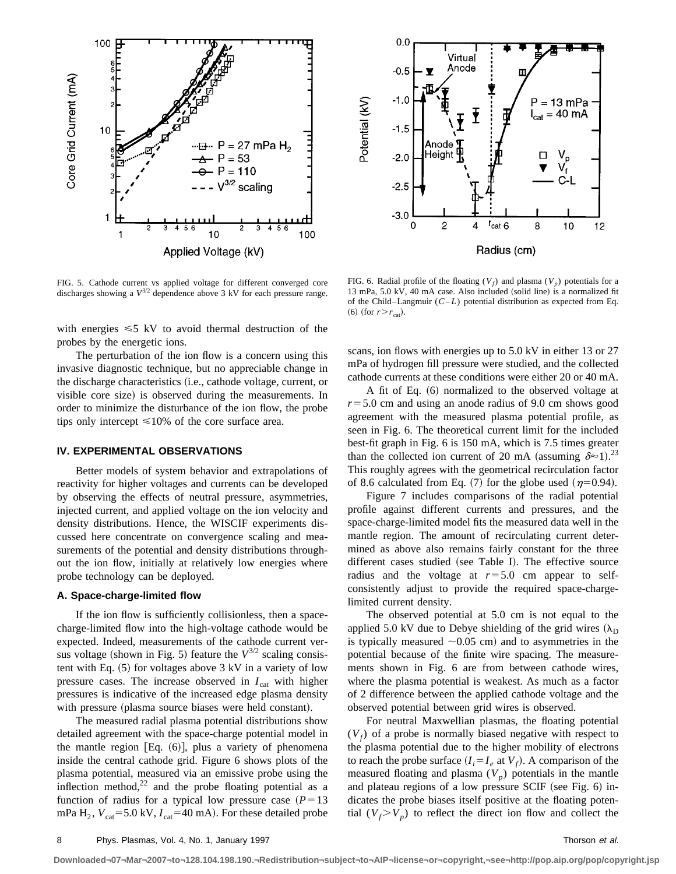

FIG. 5. Cathode current vs applied voltage for different converged core discharges showing a  $V^{3/2}$  dependence above 3 kV for each pressure range.

with energies  $\leq 5$  kV to avoid thermal destruction of the probes by the energetic ions.

The perturbation of the ion flow is a concern using this invasive diagnostic technique, but no appreciable change in the discharge characteristics (i.e., cathode voltage, current, or visible core size) is observed during the measurements. In order to minimize the disturbance of the ion flow, the probe tips only intercept  $\leq 10\%$  of the core surface area.

#### **IV. EXPERIMENTAL OBSERVATIONS**

Better models of system behavior and extrapolations of reactivity for higher voltages and currents can be developed by observing the effects of neutral pressure, asymmetries, injected current, and applied voltage on the ion velocity and density distributions. Hence, the WISCIF experiments discussed here concentrate on convergence scaling and measurements of the potential and density distributions throughout the ion flow, initially at relatively low energies where probe technology can be deployed.

#### **A. Space-charge-limited flow**

If the ion flow is sufficiently collisionless, then a spacecharge-limited flow into the high-voltage cathode would be expected. Indeed, measurements of the cathode current versus voltage (shown in Fig. 5) feature the  $V^{3/2}$  scaling consistent with Eq.  $(5)$  for voltages above 3 kV in a variety of low pressure cases. The increase observed in  $I_{\text{cat}}$  with higher pressures is indicative of the increased edge plasma density with pressure (plasma source biases were held constant).

The measured radial plasma potential distributions show detailed agreement with the space-charge potential model in the mantle region [Eq.  $(6)$ ], plus a variety of phenomena inside the central cathode grid. Figure 6 shows plots of the plasma potential, measured via an emissive probe using the inflection method, $22$  and the probe floating potential as a function of radius for a typical low pressure case  $(P=13)$ mPa  $H_2$ ,  $V_{cat}$ =5.0 kV,  $I_{cat}$ =40 mA). For these detailed probe



FIG. 6. Radial profile of the floating  $(V_f)$  and plasma  $(V_p)$  potentials for a 13 mPa,  $5.0$  kV,  $40$  mA case. Also included (solid line) is a normalized fit of the Child–Langmuir  $(C-L)$  potential distribution as expected from Eq.  $(6)$  (for  $r > r_{\text{cat}}$ ).

scans, ion flows with energies up to 5.0 kV in either 13 or 27 mPa of hydrogen fill pressure were studied, and the collected cathode currents at these conditions were either 20 or 40 mA.

A fit of Eq.  $(6)$  normalized to the observed voltage at  $r = 5.0$  cm and using an anode radius of 9.0 cm shows good agreement with the measured plasma potential profile, as seen in Fig. 6. The theoretical current limit for the included best-fit graph in Fig. 6 is 150 mA, which is 7.5 times greater than the collected ion current of 20 mA (assuming  $\delta \approx 1$ ).<sup>23</sup> This roughly agrees with the geometrical recirculation factor of 8.6 calculated from Eq. (7) for the globe used  $(\eta=0.94)$ .

Figure 7 includes comparisons of the radial potential profile against different currents and pressures, and the space-charge-limited model fits the measured data well in the mantle region. The amount of recirculating current determined as above also remains fairly constant for the three different cases studied (see Table I). The effective source radius and the voltage at  $r=5.0$  cm appear to selfconsistently adjust to provide the required space-chargelimited current density.

The observed potential at 5.0 cm is not equal to the applied 5.0 kV due to Debye shielding of the grid wires  $(\lambda_D)$ is typically measured  $\sim 0.05$  cm) and to asymmetries in the potential because of the finite wire spacing. The measurements shown in Fig. 6 are from between cathode wires, where the plasma potential is weakest. As much as a factor of 2 difference between the applied cathode voltage and the observed potential between grid wires is observed.

For neutral Maxwellian plasmas, the floating potential  $(V_f)$  of a probe is normally biased negative with respect to the plasma potential due to the higher mobility of electrons to reach the probe surface  $(I_i = I_e$  at  $V_f$ ). A comparison of the measured floating and plasma  $(V_p)$  potentials in the mantle and plateau regions of a low pressure SCIF (see Fig.  $6$ ) indicates the probe biases itself positive at the floating potential  $(V_f > V_p)$  to reflect the direct ion flow and collect the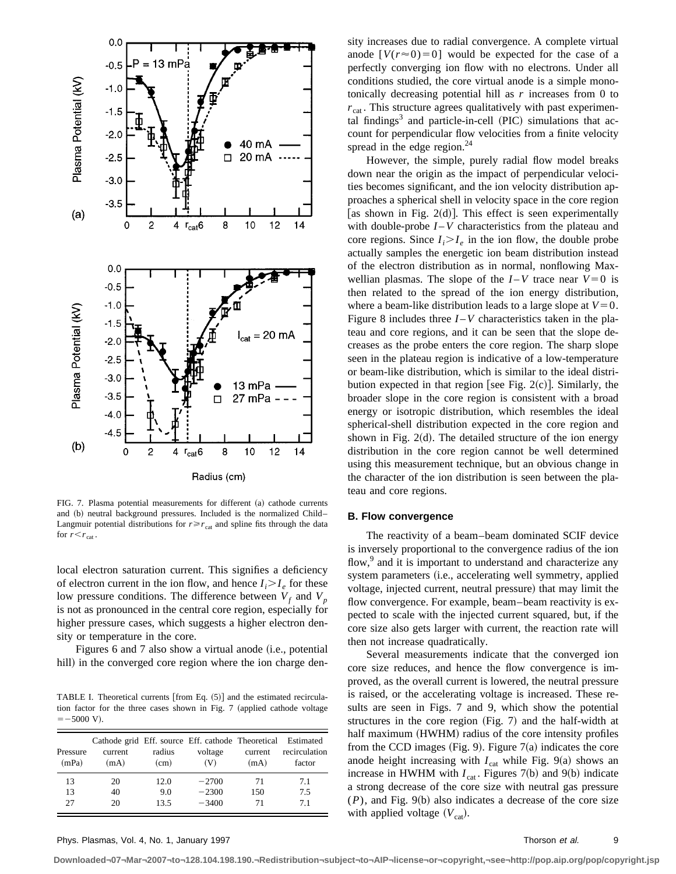

FIG. 7. Plasma potential measurements for different (a) cathode currents and (b) neutral background pressures. Included is the normalized Child-Langmuir potential distributions for  $r \ge r_{\text{cat}}$  and spline fits through the data for  $r < r_{\text{cat}}$ .

local electron saturation current. This signifies a deficiency of electron current in the ion flow, and hence  $I_i > I_e$  for these low pressure conditions. The difference between  $V_f$  and  $V_p$ is not as pronounced in the central core region, especially for higher pressure cases, which suggests a higher electron density or temperature in the core.

Figures  $6$  and  $7$  also show a virtual anode (i.e., potential hill) in the converged core region where the ion charge den-

TABLE I. Theoretical currents  $[from Eq. (5)]$  and the estimated recirculation factor for the three cases shown in Fig.  $7$  (applied cathode voltage  $=-5000 V$ .

| Pressure<br>(mPa) | Cathode grid Eff. source Eff. cathode Theoretical<br>current<br>(mA) | radius<br>(cm) | voltage<br>(V) | current<br>(mA) | Estimated<br>recirculation<br>factor |
|-------------------|----------------------------------------------------------------------|----------------|----------------|-----------------|--------------------------------------|
| 13                | 20                                                                   | 12.0           | $-2700$        | 71              | 7.1                                  |
| 13                | 40                                                                   | 9.0            | $-2300$        | 150             | 7.5                                  |
| 27                | 20                                                                   | 13.5           | $-3400$        | 71              | 7.1                                  |

sity increases due to radial convergence. A complete virtual anode  $[V(r \approx 0) = 0]$  would be expected for the case of a perfectly converging ion flow with no electrons. Under all conditions studied, the core virtual anode is a simple monotonically decreasing potential hill as *r* increases from 0 to  $r_{\text{cat}}$ . This structure agrees qualitatively with past experimental findings<sup>3</sup> and particle-in-cell (PIC) simulations that account for perpendicular flow velocities from a finite velocity spread in the edge region. $24$ 

However, the simple, purely radial flow model breaks down near the origin as the impact of perpendicular velocities becomes significant, and the ion velocity distribution approaches a spherical shell in velocity space in the core region [as shown in Fig. 2 $(d)$ ]. This effect is seen experimentally with double-probe  $I - V$  characteristics from the plateau and core regions. Since  $I_i > I_e$  in the ion flow, the double probe actually samples the energetic ion beam distribution instead of the electron distribution as in normal, nonflowing Maxwellian plasmas. The slope of the  $I-V$  trace near  $V=0$  is then related to the spread of the ion energy distribution, where a beam-like distribution leads to a large slope at  $V=0$ . Figure 8 includes three  $I - V$  characteristics taken in the plateau and core regions, and it can be seen that the slope decreases as the probe enters the core region. The sharp slope seen in the plateau region is indicative of a low-temperature or beam-like distribution, which is similar to the ideal distribution expected in that region [see Fig. 2(c)]. Similarly, the broader slope in the core region is consistent with a broad energy or isotropic distribution, which resembles the ideal spherical-shell distribution expected in the core region and shown in Fig.  $2(d)$ . The detailed structure of the ion energy distribution in the core region cannot be well determined using this measurement technique, but an obvious change in the character of the ion distribution is seen between the plateau and core regions.

#### **B. Flow convergence**

The reactivity of a beam–beam dominated SCIF device is inversely proportional to the convergence radius of the ion flow,<sup>9</sup> and it is important to understand and characterize any system parameters (i.e., accelerating well symmetry, applied voltage, injected current, neutral pressure) that may limit the flow convergence. For example, beam–beam reactivity is expected to scale with the injected current squared, but, if the core size also gets larger with current, the reaction rate will then not increase quadratically.

Several measurements indicate that the converged ion core size reduces, and hence the flow convergence is improved, as the overall current is lowered, the neutral pressure is raised, or the accelerating voltage is increased. These results are seen in Figs. 7 and 9, which show the potential structures in the core region  $(Fig. 7)$  and the half-width at half maximum (HWHM) radius of the core intensity profiles from the CCD images (Fig. 9). Figure  $7(a)$  indicates the core anode height increasing with  $I_{cat}$  while Fig. 9(a) shows an increase in HWHM with  $I_{cat}$ . Figures 7(b) and 9(b) indicate a strong decrease of the core size with neutral gas pressure  $(P)$ , and Fig. 9(b) also indicates a decrease of the core size with applied voltage  $(V_{cat})$ .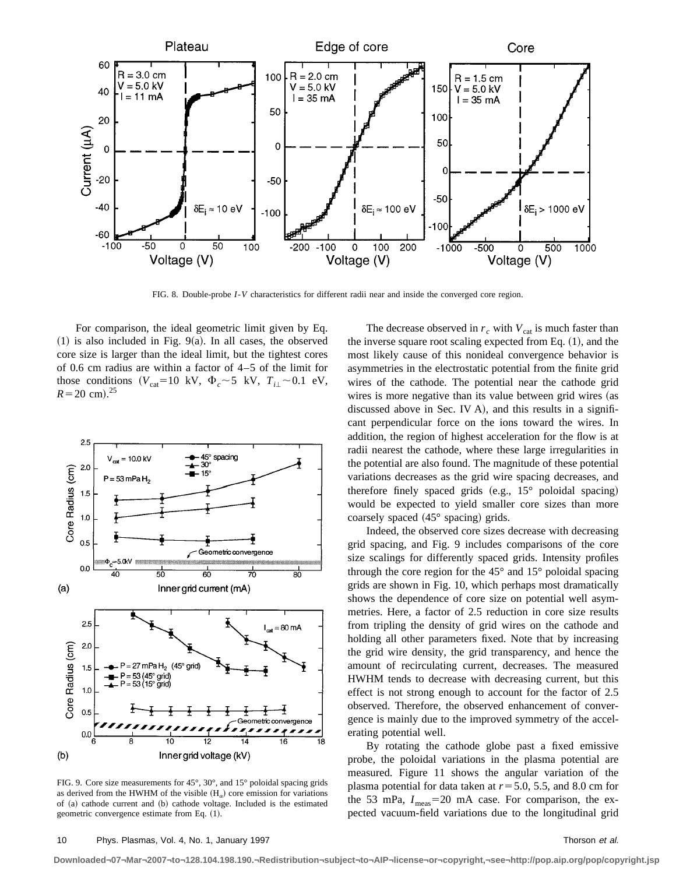

FIG. 8. Double-probe *I*-*V* characteristics for different radii near and inside the converged core region.

For comparison, the ideal geometric limit given by Eq.  $(1)$  is also included in Fig. 9 $(a)$ . In all cases, the observed core size is larger than the ideal limit, but the tightest cores of 0.6 cm radius are within a factor of 4–5 of the limit for those conditions ( $V_{\text{cat}}=10 \text{ kV}$ ,  $\Phi_c \sim 5 \text{ kV}$ ,  $T_{i\perp} \sim 0.1 \text{ eV}$ ,  $R = 20$  cm).<sup>25</sup>



FIG. 9. Core size measurements for 45°, 30°, and 15° poloidal spacing grids as derived from the HWHM of the visible  $(H_{\alpha})$  core emission for variations of (a) cathode current and (b) cathode voltage. Included is the estimated geometric convergence estimate from Eq. (1).

The decrease observed in  $r_c$  with  $V_{\text{cat}}$  is much faster than the inverse square root scaling expected from Eq.  $(1)$ , and the most likely cause of this nonideal convergence behavior is asymmetries in the electrostatic potential from the finite grid wires of the cathode. The potential near the cathode grid wires is more negative than its value between grid wires (as discussed above in Sec. IV  $A$ ), and this results in a significant perpendicular force on the ions toward the wires. In addition, the region of highest acceleration for the flow is at radii nearest the cathode, where these large irregularities in the potential are also found. The magnitude of these potential variations decreases as the grid wire spacing decreases, and therefore finely spaced grids  $(e.g., 15°$  poloidal spacing) would be expected to yield smaller core sizes than more coarsely spaced  $(45^{\circ}$  spacing) grids.

Indeed, the observed core sizes decrease with decreasing grid spacing, and Fig. 9 includes comparisons of the core size scalings for differently spaced grids. Intensity profiles through the core region for the 45° and 15° poloidal spacing grids are shown in Fig. 10, which perhaps most dramatically shows the dependence of core size on potential well asymmetries. Here, a factor of 2.5 reduction in core size results from tripling the density of grid wires on the cathode and holding all other parameters fixed. Note that by increasing the grid wire density, the grid transparency, and hence the amount of recirculating current, decreases. The measured HWHM tends to decrease with decreasing current, but this effect is not strong enough to account for the factor of 2.5 observed. Therefore, the observed enhancement of convergence is mainly due to the improved symmetry of the accelerating potential well.

By rotating the cathode globe past a fixed emissive probe, the poloidal variations in the plasma potential are measured. Figure 11 shows the angular variation of the plasma potential for data taken at  $r = 5.0, 5.5$ , and 8.0 cm for the 53 mPa,  $I_{\text{meas}}$ =20 mA case. For comparison, the expected vacuum-field variations due to the longitudinal grid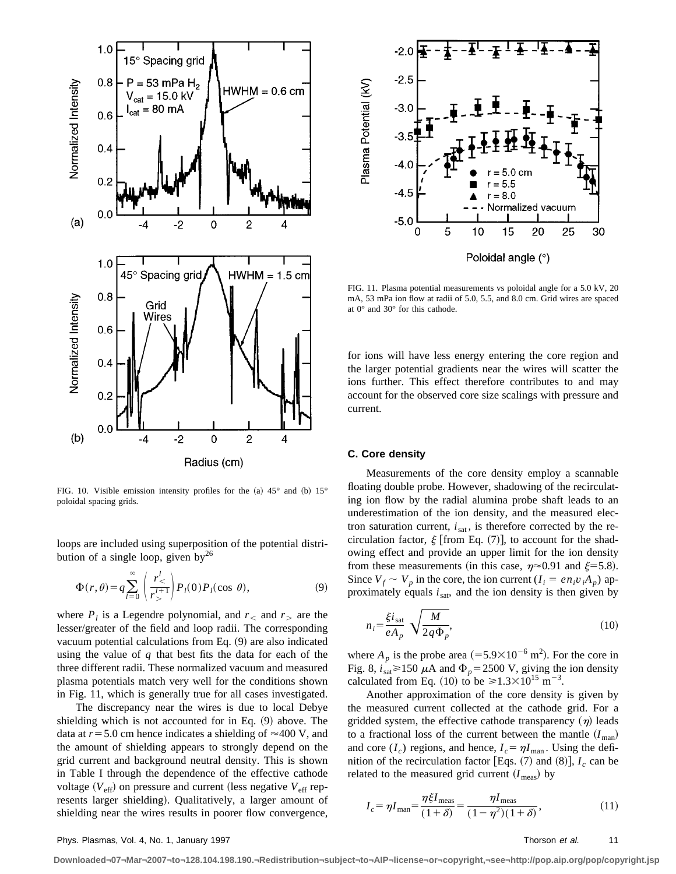

FIG. 10. Visible emission intensity profiles for the (a)  $45^{\circ}$  and (b)  $15^{\circ}$ poloidal spacing grids.

loops are included using superposition of the potential distribution of a single loop, given by<sup>26</sup>

$$
\Phi(r,\theta) = q \sum_{l=0}^{\infty} \left( \frac{r_<^l}{r_>^{l+1}} \right) P_l(0) P_l(\cos \theta), \tag{9}
$$

where  $P_l$  is a Legendre polynomial, and  $r<sub>0</sub>$  and  $r<sub>0</sub>$  are the lesser/greater of the field and loop radii. The corresponding vacuum potential calculations from Eq.  $(9)$  are also indicated using the value of *q* that best fits the data for each of the three different radii. These normalized vacuum and measured plasma potentials match very well for the conditions shown in Fig. 11, which is generally true for all cases investigated.

The discrepancy near the wires is due to local Debye shielding which is not accounted for in Eq.  $(9)$  above. The data at  $r = 5.0$  cm hence indicates a shielding of  $\approx 400$  V, and the amount of shielding appears to strongly depend on the grid current and background neutral density. This is shown in Table I through the dependence of the effective cathode voltage  $(V_{\text{eff}})$  on pressure and current (less negative  $V_{\text{eff}}$  represents larger shielding). Qualitatively, a larger amount of shielding near the wires results in poorer flow convergence,



FIG. 11. Plasma potential measurements vs poloidal angle for a 5.0 kV, 20 mA, 53 mPa ion flow at radii of 5.0, 5.5, and 8.0 cm. Grid wires are spaced at 0° and 30° for this cathode.

for ions will have less energy entering the core region and the larger potential gradients near the wires will scatter the ions further. This effect therefore contributes to and may account for the observed core size scalings with pressure and current.

### **C. Core density**

Measurements of the core density employ a scannable floating double probe. However, shadowing of the recirculating ion flow by the radial alumina probe shaft leads to an underestimation of the ion density, and the measured electron saturation current,  $i_{\text{sat}}$ , is therefore corrected by the recirculation factor,  $\xi$  [from Eq. (7)], to account for the shadowing effect and provide an upper limit for the ion density from these measurements (in this case,  $\eta \approx 0.91$  and  $\xi = 5.8$ ). Since  $V_f \sim V_p$  in the core, the ion current  $(I_i = en_i v_i A_p)$  approximately equals  $i_{\text{sat}}$ , and the ion density is then given by

$$
n_i = \frac{\xi i_{\text{sat}}}{eA_p} \sqrt{\frac{M}{2q\Phi_p}},\tag{10}
$$

where  $A_p$  is the probe area (=5.9×10<sup>-6</sup> m<sup>2</sup>). For the core in Fig. 8,  $i_{sat} \ge 150 \mu A$  and  $\Phi_p = 2500 \text{ V}$ , giving the ion density calculated from Eq. (10) to be  $\ge 1.3 \times 10^{15}$  m<sup>-3</sup>.

Another approximation of the core density is given by the measured current collected at the cathode grid. For a gridded system, the effective cathode transparency  $(\eta)$  leads to a fractional loss of the current between the mantle  $(I_{\text{man}})$ and core  $(I_c)$  regions, and hence,  $I_c = \eta I_{\text{man}}$ . Using the definition of the recirculation factor [Eqs.  $(7)$  and  $(8)$ ],  $I_c$  can be related to the measured grid current  $(I_{\text{meas}})$  by

$$
I_c = \eta I_{\text{man}} = \frac{\eta \xi I_{\text{meas}}}{(1+\delta)} = \frac{\eta I_{\text{meas}}}{(1-\eta^2)(1+\delta)},
$$
(11)

#### Phys. Plasmas, Vol. 4, No. 1, January 1997 **Thorson et al.** 11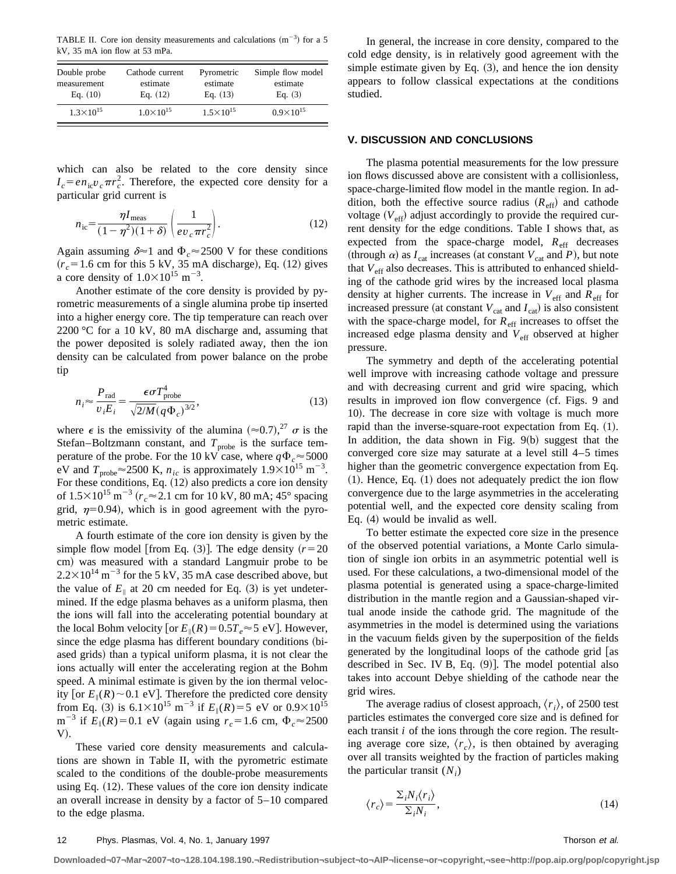TABLE II. Core ion density measurements and calculations  $(m^{-3})$  for a 5 kV, 35 mA ion flow at 53 mPa.

| Double probe         | Cathode current    | Pyrometric           | Simple flow model    |
|----------------------|--------------------|----------------------|----------------------|
| measurement          | estimate           | estimate             | estimate             |
| Eq. $(10)$           | Eq. $(12)$         | Eq. $(13)$           | Eq. $(3)$            |
| $1.3 \times 10^{15}$ | $1.0\times10^{15}$ | $1.5 \times 10^{15}$ | $0.9 \times 10^{15}$ |

which can also be related to the core density since  $I_c = en_{ic}v_c \pi r_c^2$ . Therefore, the expected core density for a particular grid current is

$$
n_{\rm ic} = \frac{\eta I_{\rm meas}}{(1 - \eta^2)(1 + \delta)} \left(\frac{1}{e v_c \pi r_c^2}\right). \tag{12}
$$

Again assuming  $\delta \approx 1$  and  $\Phi_c \approx 2500$  V for these conditions  $(r_c = 1.6$  cm for this 5 kV, 35 mA discharge), Eq. (12) gives a core density of  $1.0 \times 10^{15}$  m<sup>-3</sup>.

Another estimate of the core density is provided by pyrometric measurements of a single alumina probe tip inserted into a higher energy core. The tip temperature can reach over  $2200 \degree C$  for a 10 kV, 80 mA discharge and, assuming that the power deposited is solely radiated away, then the ion density can be calculated from power balance on the probe tip

$$
n_i \approx \frac{P_{\text{rad}}}{v_i E_i} = \frac{\epsilon \sigma T_{\text{probe}}^4}{\sqrt{2/M} (q \Phi_c)^{3/2}},\tag{13}
$$

where  $\epsilon$  is the emissivity of the alumina  $(\approx 0.7)$ ,  $27 \sigma$  is the Stefan–Boltzmann constant, and  $T_{\text{probe}}$  is the surface temperature of the probe. For the 10 kV case, where  $q\Phi_c \approx 5000$ eV and  $T_{\text{probe}} \approx 2500 \text{ K}$ ,  $n_{ic}$  is approximately  $1.9 \times 10^{15} \text{ m}^{-3}$ . For these conditions, Eq.  $(12)$  also predicts a core ion density of  $1.5 \times 10^{15}$  m<sup>-3</sup> ( $r_c \approx 2.1$  cm for 10 kV, 80 mA; 45° spacing grid,  $\eta=0.94$ ), which is in good agreement with the pyrometric estimate.

A fourth estimate of the core ion density is given by the simple flow model [from Eq.  $(3)$ ]. The edge density  $(r=20)$ cm) was measured with a standard Langmuir probe to be  $2.2 \times 10^{14}$  m<sup>-3</sup> for the 5 kV, 35 mA case described above, but the value of  $E_{\parallel}$  at 20 cm needed for Eq. (3) is yet undetermined. If the edge plasma behaves as a uniform plasma, then the ions will fall into the accelerating potential boundary at the local Bohm velocity  $\lceil \text{or } E_{\parallel}(R) = 0.5T_e \approx 5 \text{ eV}$ . However, since the edge plasma has different boundary conditions (biased grids) than a typical uniform plasma, it is not clear the ions actually will enter the accelerating region at the Bohm speed. A minimal estimate is given by the ion thermal velocity [or  $E_{\parallel}(R)$  ~ 0.1 eV]. Therefore the predicted core density from Eq. (3) is  $6.1 \times 10^{15}$  m<sup>-3</sup> if  $E_{\parallel}(R) = 5$  eV or  $0.9 \times 10^{15}$  $m^{-3}$  if  $E_{\parallel}(R) = 0.1$  eV (again using  $r_c = 1.6$  cm,  $\Phi_c \approx 2500$  $V$ ).

These varied core density measurements and calculations are shown in Table II, with the pyrometric estimate scaled to the conditions of the double-probe measurements using Eq.  $(12)$ . These values of the core ion density indicate an overall increase in density by a factor of 5–10 compared to the edge plasma.

In general, the increase in core density, compared to the cold edge density, is in relatively good agreement with the simple estimate given by Eq.  $(3)$ , and hence the ion density appears to follow classical expectations at the conditions studied.

# **V. DISCUSSION AND CONCLUSIONS**

The plasma potential measurements for the low pressure ion flows discussed above are consistent with a collisionless, space-charge-limited flow model in the mantle region. In addition, both the effective source radius  $(R_{\text{eff}})$  and cathode voltage  $(V_{\text{eff}})$  adjust accordingly to provide the required current density for the edge conditions. Table I shows that, as expected from the space-charge model,  $R_{\text{eff}}$  decreases (through  $\alpha$ ) as  $I_{\text{cat}}$  increases (at constant  $V_{\text{cat}}$  and *P*), but note that  $V_{\text{eff}}$  also decreases. This is attributed to enhanced shielding of the cathode grid wires by the increased local plasma density at higher currents. The increase in  $V_{\text{eff}}$  and  $R_{\text{eff}}$  for increased pressure (at constant  $V_{\text{cat}}$  and  $I_{\text{cat}}$ ) is also consistent with the space-charge model, for  $R_{\text{eff}}$  increases to offset the increased edge plasma density and  $V_{\text{eff}}$  observed at higher pressure.

The symmetry and depth of the accelerating potential well improve with increasing cathode voltage and pressure and with decreasing current and grid wire spacing, which results in improved ion flow convergence (cf. Figs. 9 and 10). The decrease in core size with voltage is much more rapid than the inverse-square-root expectation from Eq.  $(1)$ . In addition, the data shown in Fig.  $9(b)$  suggest that the converged core size may saturate at a level still 4–5 times higher than the geometric convergence expectation from Eq.  $(1)$ . Hence, Eq.  $(1)$  does not adequately predict the ion flow convergence due to the large asymmetries in the accelerating potential well, and the expected core density scaling from Eq.  $(4)$  would be invalid as well.

To better estimate the expected core size in the presence of the observed potential variations, a Monte Carlo simulation of single ion orbits in an asymmetric potential well is used. For these calculations, a two-dimensional model of the plasma potential is generated using a space-charge-limited distribution in the mantle region and a Gaussian-shaped virtual anode inside the cathode grid. The magnitude of the asymmetries in the model is determined using the variations in the vacuum fields given by the superposition of the fields generated by the longitudinal loops of the cathode grid  $\lceil$ as described in Sec. IV B, Eq.  $(9)$ ]. The model potential also takes into account Debye shielding of the cathode near the grid wires.

The average radius of closest approach,  $\langle r_i \rangle$ , of 2500 test particles estimates the converged core size and is defined for each transit *i* of the ions through the core region. The resulting average core size,  $\langle r_c \rangle$ , is then obtained by averaging over all transits weighted by the fraction of particles making the particular transit  $(N_i)$ 

$$
\langle r_c \rangle = \frac{\sum_i N_i \langle r_i \rangle}{\sum_i N_i},\tag{14}
$$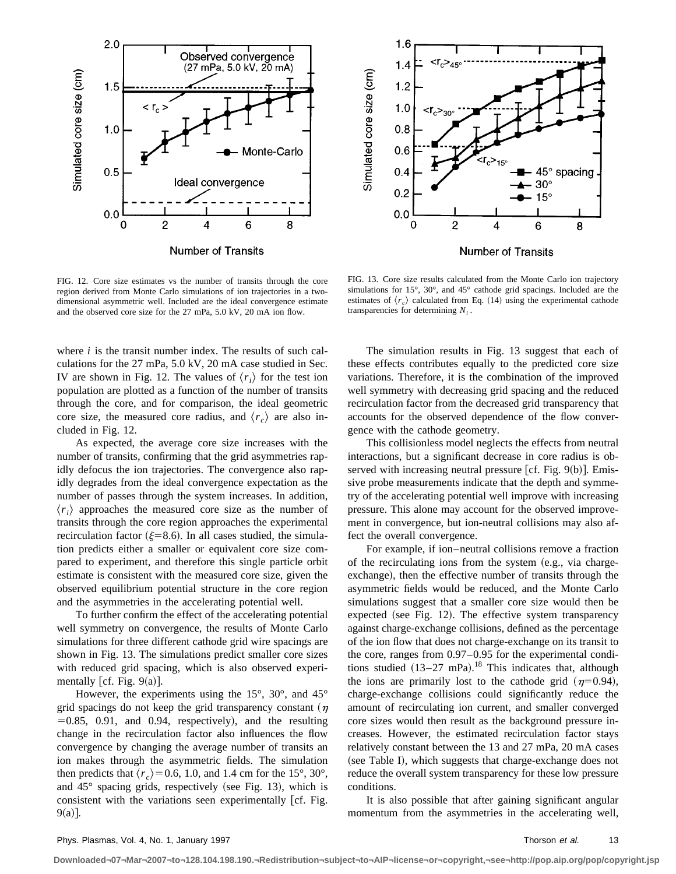



FIG. 12. Core size estimates vs the number of transits through the core region derived from Monte Carlo simulations of ion trajectories in a twodimensional asymmetric well. Included are the ideal convergence estimate and the observed core size for the 27 mPa, 5.0 kV, 20 mA ion flow.

where *i* is the transit number index. The results of such calculations for the 27 mPa, 5.0 kV, 20 mA case studied in Sec. IV are shown in Fig. 12. The values of  $\langle r_i \rangle$  for the test ion population are plotted as a function of the number of transits through the core, and for comparison, the ideal geometric core size, the measured core radius, and  $\langle r_c \rangle$  are also included in Fig. 12.

As expected, the average core size increases with the number of transits, confirming that the grid asymmetries rapidly defocus the ion trajectories. The convergence also rapidly degrades from the ideal convergence expectation as the number of passes through the system increases. In addition,  $\langle r_i \rangle$  approaches the measured core size as the number of transits through the core region approaches the experimental recirculation factor ( $\xi=8.6$ ). In all cases studied, the simulation predicts either a smaller or equivalent core size compared to experiment, and therefore this single particle orbit estimate is consistent with the measured core size, given the observed equilibrium potential structure in the core region and the asymmetries in the accelerating potential well.

To further confirm the effect of the accelerating potential well symmetry on convergence, the results of Monte Carlo simulations for three different cathode grid wire spacings are shown in Fig. 13. The simulations predict smaller core sizes with reduced grid spacing, which is also observed experimentally [cf. Fig.  $9(a)$ ].

However, the experiments using the 15°, 30°, and 45° grid spacings do not keep the grid transparency constant  $(\eta)$  $=0.85$ , 0.91, and 0.94, respectively), and the resulting change in the recirculation factor also influences the flow convergence by changing the average number of transits an ion makes through the asymmetric fields. The simulation then predicts that  $\langle r_c \rangle$  = 0.6, 1.0, and 1.4 cm for the 15°, 30°, and  $45^{\circ}$  spacing grids, respectively (see Fig. 13), which is consistent with the variations seen experimentally  $[cf. Fig.$  $9(a)$ ].

FIG. 13. Core size results calculated from the Monte Carlo ion trajectory simulations for 15°, 30°, and 45° cathode grid spacings. Included are the estimates of  $\langle r_c \rangle$  calculated from Eq. (14) using the experimental cathode transparencies for determining *Ni* .

The simulation results in Fig. 13 suggest that each of these effects contributes equally to the predicted core size variations. Therefore, it is the combination of the improved well symmetry with decreasing grid spacing and the reduced recirculation factor from the decreased grid transparency that accounts for the observed dependence of the flow convergence with the cathode geometry.

This collisionless model neglects the effects from neutral interactions, but a significant decrease in core radius is observed with increasing neutral pressure  $[cf. Fig. 9(b)].$  Emissive probe measurements indicate that the depth and symmetry of the accelerating potential well improve with increasing pressure. This alone may account for the observed improvement in convergence, but ion-neutral collisions may also affect the overall convergence.

For example, if ion–neutral collisions remove a fraction of the recirculating ions from the system  $(e.g., via charge$ exchange), then the effective number of transits through the asymmetric fields would be reduced, and the Monte Carlo simulations suggest that a smaller core size would then be expected (see Fig. 12). The effective system transparency against charge-exchange collisions, defined as the percentage of the ion flow that does not charge-exchange on its transit to the core, ranges from 0.97–0.95 for the experimental conditions studied  $(13-27 \text{ mPa})$ .<sup>18</sup> This indicates that, although the ions are primarily lost to the cathode grid  $(\eta=0.94)$ , charge-exchange collisions could significantly reduce the amount of recirculating ion current, and smaller converged core sizes would then result as the background pressure increases. However, the estimated recirculation factor stays relatively constant between the 13 and 27 mPa, 20 mA cases (see Table I), which suggests that charge-exchange does not reduce the overall system transparency for these low pressure conditions.

It is also possible that after gaining significant angular momentum from the asymmetries in the accelerating well,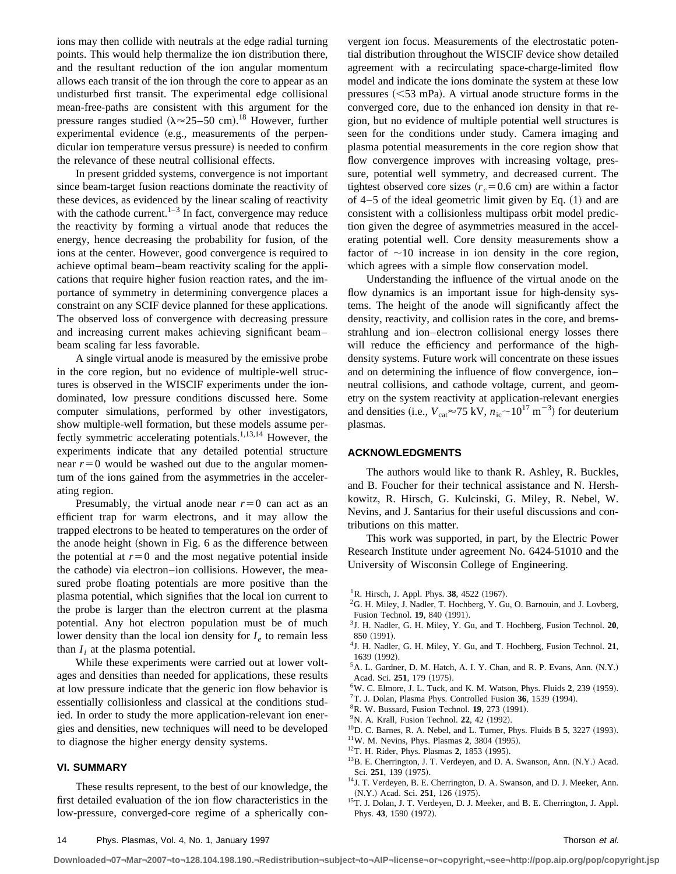ions may then collide with neutrals at the edge radial turning points. This would help thermalize the ion distribution there, and the resultant reduction of the ion angular momentum allows each transit of the ion through the core to appear as an undisturbed first transit. The experimental edge collisional mean-free-paths are consistent with this argument for the pressure ranges studied  $(\lambda \approx 25-50 \text{ cm})$ .<sup>18</sup> However, further experimental evidence (e.g., measurements of the perpendicular ion temperature versus pressure) is needed to confirm the relevance of these neutral collisional effects.

In present gridded systems, convergence is not important since beam-target fusion reactions dominate the reactivity of these devices, as evidenced by the linear scaling of reactivity with the cathode current. $1-3$  In fact, convergence may reduce the reactivity by forming a virtual anode that reduces the energy, hence decreasing the probability for fusion, of the ions at the center. However, good convergence is required to achieve optimal beam–beam reactivity scaling for the applications that require higher fusion reaction rates, and the importance of symmetry in determining convergence places a constraint on any SCIF device planned for these applications. The observed loss of convergence with decreasing pressure and increasing current makes achieving significant beam– beam scaling far less favorable.

A single virtual anode is measured by the emissive probe in the core region, but no evidence of multiple-well structures is observed in the WISCIF experiments under the iondominated, low pressure conditions discussed here. Some computer simulations, performed by other investigators, show multiple-well formation, but these models assume perfectly symmetric accelerating potentials.<sup>1,13,14</sup> However, the experiments indicate that any detailed potential structure near  $r=0$  would be washed out due to the angular momentum of the ions gained from the asymmetries in the accelerating region.

Presumably, the virtual anode near  $r=0$  can act as an efficient trap for warm electrons, and it may allow the trapped electrons to be heated to temperatures on the order of the anode height (shown in Fig. 6 as the difference between the potential at  $r=0$  and the most negative potential inside the cathode) via electron–ion collisions. However, the measured probe floating potentials are more positive than the plasma potential, which signifies that the local ion current to the probe is larger than the electron current at the plasma potential. Any hot electron population must be of much lower density than the local ion density for  $I_e$  to remain less than  $I_i$  at the plasma potential.

While these experiments were carried out at lower voltages and densities than needed for applications, these results at low pressure indicate that the generic ion flow behavior is essentially collisionless and classical at the conditions studied. In order to study the more application-relevant ion energies and densities, new techniques will need to be developed to diagnose the higher energy density systems.

### **VI. SUMMARY**

These results represent, to the best of our knowledge, the first detailed evaluation of the ion flow characteristics in the low-pressure, converged-core regime of a spherically convergent ion focus. Measurements of the electrostatic potential distribution throughout the WISCIF device show detailed agreement with a recirculating space-charge-limited flow model and indicate the ions dominate the system at these low pressures  $(<53$  mPa). A virtual anode structure forms in the converged core, due to the enhanced ion density in that region, but no evidence of multiple potential well structures is seen for the conditions under study. Camera imaging and plasma potential measurements in the core region show that flow convergence improves with increasing voltage, pressure, potential well symmetry, and decreased current. The tightest observed core sizes  $(r_c = 0.6 \text{ cm})$  are within a factor of  $4-5$  of the ideal geometric limit given by Eq.  $(1)$  and are consistent with a collisionless multipass orbit model prediction given the degree of asymmetries measured in the accelerating potential well. Core density measurements show a factor of  $\sim$ 10 increase in ion density in the core region, which agrees with a simple flow conservation model.

Understanding the influence of the virtual anode on the flow dynamics is an important issue for high-density systems. The height of the anode will significantly affect the density, reactivity, and collision rates in the core, and bremsstrahlung and ion–electron collisional energy losses there will reduce the efficiency and performance of the highdensity systems. Future work will concentrate on these issues and on determining the influence of flow convergence, ion– neutral collisions, and cathode voltage, current, and geometry on the system reactivity at application-relevant energies and densities (i.e.,  $V_{\text{cat}} \approx 75 \text{ kV}, n_{\text{ic}} \sim 10^{17} \text{ m}^{-3}$ ) for deuterium plasmas.

# **ACKNOWLEDGMENTS**

The authors would like to thank R. Ashley, R. Buckles, and B. Foucher for their technical assistance and N. Hershkowitz, R. Hirsch, G. Kulcinski, G. Miley, R. Nebel, W. Nevins, and J. Santarius for their useful discussions and contributions on this matter.

This work was supported, in part, by the Electric Power Research Institute under agreement No. 6424-51010 and the University of Wisconsin College of Engineering.

- ${}^{1}$ R. Hirsch, J. Appl. Phys. **38**, 4522 (1967).
- 2G. H. Miley, J. Nadler, T. Hochberg, Y. Gu, O. Barnouin, and J. Lovberg, Fusion Technol. **19.** 840 (1991).
- 3J. H. Nadler, G. H. Miley, Y. Gu, and T. Hochberg, Fusion Technol. **20**, 850 (1991).
- 4J. H. Nadler, G. H. Miley, Y. Gu, and T. Hochberg, Fusion Technol. **21**, 1639 (1992).
- ${}^5$ A. L. Gardner, D. M. Hatch, A. I. Y. Chan, and R. P. Evans, Ann. (N.Y.) Acad. Sci. 251, 179 (1975).
- $6W$ . C. Elmore, J. L. Tuck, and K. M. Watson, Phys. Fluids  $2$ , 239 (1959).
- $T$ T. J. Dolan, Plasma Phys. Controlled Fusion 36, 1539 (1994).
- <sup>8</sup>R. W. Bussard, Fusion Technol. **19**, 273 (1991).
- $^{9}$ N. A. Krall, Fusion Technol. **22**, 42 (1992).
- $10$ D. C. Barnes, R. A. Nebel, and L. Turner, Phys. Fluids B 5, 3227 (1993).
- <sup>11</sup>W. M. Nevins, Phys. Plasmas 2, 3804 (1995).
- <sup>12</sup>T. H. Rider, Phys. Plasmas 2, 1853 (1995).
- $13B$ . E. Cherrington, J. T. Verdeyen, and D. A. Swanson, Ann. (N.Y.) Acad. Sci. 251, 139 (1975).
- 14J. T. Verdeyen, B. E. Cherrington, D. A. Swanson, and D. J. Meeker, Ann. (N.Y.) Acad. Sci. 251, 126 (1975).
- <sup>15</sup>T. J. Dolan, J. T. Verdeyen, D. J. Meeker, and B. E. Cherrington, J. Appl. Phys. **43**, 1590 (1972).

**Downloaded¬07¬Mar¬2007¬to¬128.104.198.190.¬Redistribution¬subject¬to¬AIP¬license¬or¬copyright,¬see¬http://pop.aip.org/pop/copyright.jsp**